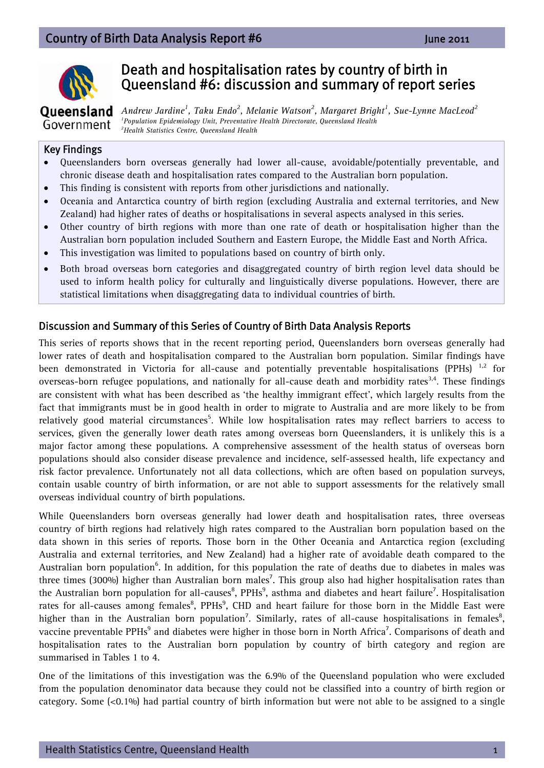

# Death and hospitalisation rates by country of birth in Queensland #6: discussion and summary of report series

### Oueensland Government

*Andrew Jardine<sup>1</sup>*, *Taku Endo<sup>2</sup>*, *Melanie Watson<sup>2</sup>, Margaret Bright<sup>1</sup>, Sue-Lynne MacLeod<sup>2</sup><br><sup><i>1 Boxylation Enidemisies: Unit Brausetative Health Directorate Queensland Health*</sup> *Population Epidemiology Unit, Preventative Health Directorate, Queensland Health 2 Health Statistics Centre, Queensland Health* 

### Key Findings

- Queenslanders born overseas generally had lower all-cause, avoidable/potentially preventable, and chronic disease death and hospitalisation rates compared to the Australian born population.
- This finding is consistent with reports from other jurisdictions and nationally.
- Oceania and Antarctica country of birth region (excluding Australia and external territories, and New Zealand) had higher rates of deaths or hospitalisations in several aspects analysed in this series.
- Other country of birth regions with more than one rate of death or hospitalisation higher than the Australian born population included Southern and Eastern Europe, the Middle East and North Africa.
- This investigation was limited to populations based on country of birth only.
- Both broad overseas born categories and disaggregated country of birth region level data should be used to inform health policy for culturally and linguistically diverse populations. However, there are statistical limitations when disaggregating data to individual countries of birth.

### Discussion and Summary of this Series of Country of Birth Data Analysis Reports

This series of reports shows that in the recent reporting period, Queenslanders born overseas generally had lower rates of death and hospitalisation compared to the Australian born population. Similar findings have been demonstrated in Victoria for all-cause and potentially preventable hospitalisations (PPHs)  $^{1,2}$  for overseas-born refugee populations, and nationally for all-cause death and morbidity rates<sup>3,4</sup>. These findings are consistent with what has been described as 'the healthy immigrant effect', which largely results from the fact that immigrants must be in good health in order to migrate to Australia and are more likely to be from relatively good material circumstances<sup>5</sup>. While low hospitalisation rates may reflect barriers to access to services, given the generally lower death rates among overseas born Queenslanders, it is unlikely this is a major factor among these populations. A comprehensive assessment of the health status of overseas born populations should also consider disease prevalence and incidence, self-assessed health, life expectancy and risk factor prevalence. Unfortunately not all data collections, which are often based on population surveys, contain usable country of birth information, or are not able to support assessments for the relatively small overseas individual country of birth populations.

While Queenslanders born overseas generally had lower death and hospitalisation rates, three overseas country of birth regions had relatively high rates compared to the Australian born population based on the data shown in this series of reports. Those born in the Other Oceania and Antarctica region (excluding Australia and external territories, and New Zealand) had a higher rate of avoidable death compared to the Australian born population<sup>6</sup>. In addition, for this population the rate of deaths due to diabetes in males was three times (300%) higher than Australian born males<sup>7</sup>. This group also had higher hospitalisation rates than the Australian born population for all-causes<sup>8</sup>, PPHs<sup>9</sup>, asthma and diabetes and heart failure<sup>7</sup>. Hospitalisation rates for all-causes among females $^8$ , PPHs $^9$ , CHD and heart failure for those born in the Middle East were higher than in the Australian born population<sup>7</sup>. Similarly, rates of all-cause hospitalisations in females<sup>8</sup>, vaccine preventable PPHs $^9$  and diabetes were higher in those born in North Africa $^7$ . Comparisons of death and hospitalisation rates to the Australian born population by country of birth category and region are summarised in Tables 1 to 4.

One of the limitations of this investigation was the 6.9% of the Queensland population who were excluded from the population denominator data because they could not be classified into a country of birth region or category. Some  $( $0.1\%$ )$  had partial country of birth information but were not able to be assigned to a single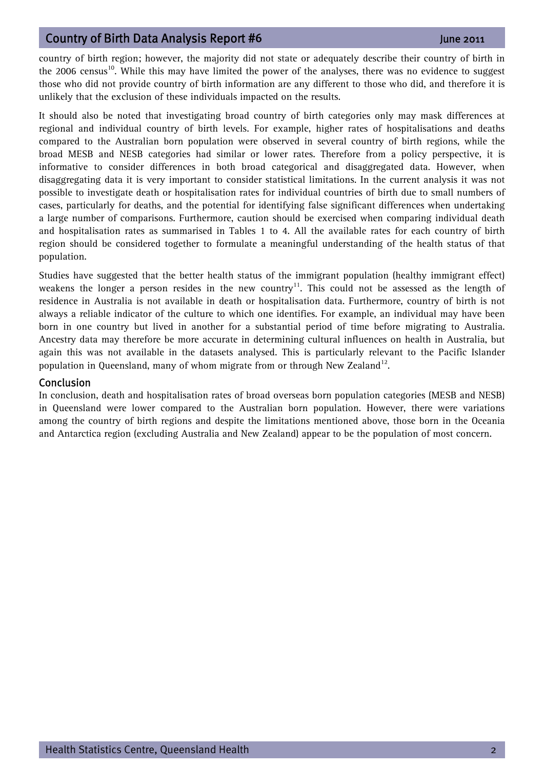country of birth region; however, the majority did not state or adequately describe their country of birth in the 2006 census<sup>10</sup>. While this may have limited the power of the analyses, there was no evidence to suggest those who did not provide country of birth information are any different to those who did, and therefore it is unlikely that the exclusion of these individuals impacted on the results.

It should also be noted that investigating broad country of birth categories only may mask differences at regional and individual country of birth levels. For example, higher rates of hospitalisations and deaths compared to the Australian born population were observed in several country of birth regions, while the broad MESB and NESB categories had similar or lower rates. Therefore from a policy perspective, it is informative to consider differences in both broad categorical and disaggregated data. However, when disaggregating data it is very important to consider statistical limitations. In the current analysis it was not possible to investigate death or hospitalisation rates for individual countries of birth due to small numbers of cases, particularly for deaths, and the potential for identifying false significant differences when undertaking a large number of comparisons. Furthermore, caution should be exercised when comparing individual death and hospitalisation rates as summarised in Tables 1 to 4. All the available rates for each country of birth region should be considered together to formulate a meaningful understanding of the health status of that population.

Studies have suggested that the better health status of the immigrant population (healthy immigrant effect) weakens the longer a person resides in the new country<sup>11</sup>. This could not be assessed as the length of residence in Australia is not available in death or hospitalisation data. Furthermore, country of birth is not always a reliable indicator of the culture to which one identifies. For example, an individual may have been born in one country but lived in another for a substantial period of time before migrating to Australia. Ancestry data may therefore be more accurate in determining cultural influences on health in Australia, but again this was not available in the datasets analysed. This is particularly relevant to the Pacific Islander population in Queensland, many of whom migrate from or through New Zealand<sup>12</sup>.

#### Conclusion

In conclusion, death and hospitalisation rates of broad overseas born population categories (MESB and NESB) in Queensland were lower compared to the Australian born population. However, there were variations among the country of birth regions and despite the limitations mentioned above, those born in the Oceania and Antarctica region (excluding Australia and New Zealand) appear to be the population of most concern.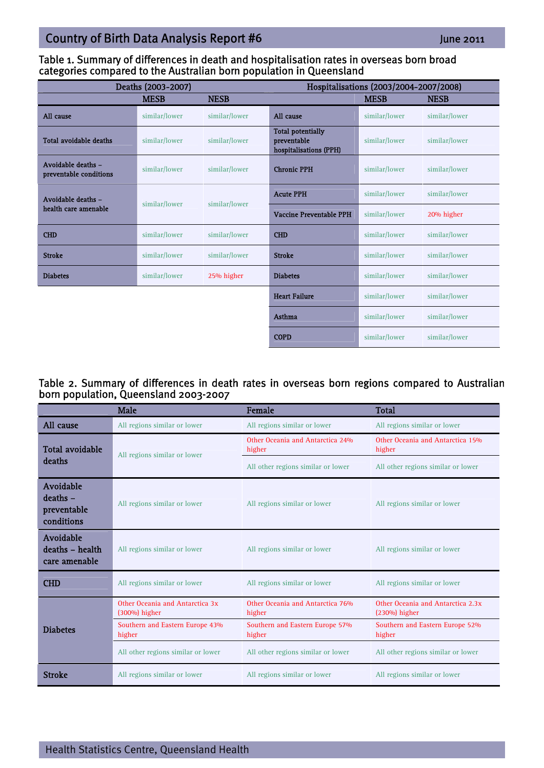### Table 1. Summary of differences in death and hospitalisation rates in overseas born broad categories compared to the Australian born population in Queensland

| Deaths (2003-2007)                           |               |               | Hospitalisations (2003/2004-2007/2008)                            |               |               |
|----------------------------------------------|---------------|---------------|-------------------------------------------------------------------|---------------|---------------|
|                                              | <b>MESB</b>   | <b>NESB</b>   |                                                                   | <b>MESB</b>   | <b>NESB</b>   |
| All cause                                    | similar/lower | similar/lower | All cause                                                         | similar/lower | similar/lower |
| <b>Total avoidable deaths</b>                | similar/lower | similar/lower | <b>Total potentially</b><br>preventable<br>hospitalisations (PPH) | similar/lower | similar/lower |
| Avoidable deaths -<br>preventable conditions | similar/lower | similar/lower | <b>Chronic PPH</b>                                                | similar/lower | similar/lower |
| Avoidable deaths -<br>health care amenable   | similar/lower | similar/lower | <b>Acute PPH</b>                                                  | similar/lower | similar/lower |
|                                              |               |               | Vaccine Preventable PPH                                           | similar/lower | 20% higher    |
| <b>CHD</b>                                   | similar/lower | similar/lower | <b>CHD</b>                                                        | similar/lower | similar/lower |
| <b>Stroke</b>                                | similar/lower | similar/lower | <b>Stroke</b>                                                     | similar/lower | similar/lower |
| <b>Diabetes</b>                              | similar/lower | 25% higher    | <b>Diabetes</b>                                                   | similar/lower | similar/lower |
|                                              |               |               | <b>Heart Failure</b>                                              | similar/lower | similar/lower |
|                                              |               |               | <b>Asthma</b>                                                     | similar/lower | similar/lower |
|                                              |               |               | <b>COPD</b>                                                       | similar/lower | similar/lower |

#### Table 2. Summary of differences in death rates in overseas born regions compared to Australian born population, Queensland 2003-2007

|                                                      | Male                                             | Female                                     | <b>Total</b>                                         |
|------------------------------------------------------|--------------------------------------------------|--------------------------------------------|------------------------------------------------------|
| All cause                                            | All regions similar or lower                     | All regions similar or lower               | All regions similar or lower                         |
| <b>Total avoidable</b><br>deaths                     | All regions similar or lower                     | Other Oceania and Antarctica 24%<br>higher | Other Oceania and Antarctica 15%<br>higher           |
|                                                      |                                                  | All other regions similar or lower         | All other regions similar or lower                   |
| Avoidable<br>$deaths -$<br>preventable<br>conditions | All regions similar or lower                     | All regions similar or lower               | All regions similar or lower                         |
| Avoidable<br>deaths - health<br>care amenable        | All regions similar or lower                     | All regions similar or lower               | All regions similar or lower                         |
| <b>CHD</b>                                           | All regions similar or lower                     | All regions similar or lower               | All regions similar or lower                         |
| <b>Diabetes</b>                                      | Other Oceania and Antarctica 3x<br>(300%) higher | Other Oceania and Antarctica 76%<br>higher | Other Oceania and Antarctica 2.3x<br>$(230%)$ higher |
|                                                      | Southern and Eastern Europe 43%<br>higher        | Southern and Eastern Europe 57%<br>higher  | Southern and Eastern Europe 52%<br>higher            |
|                                                      | All other regions similar or lower               | All other regions similar or lower         | All other regions similar or lower                   |
| <b>Stroke</b>                                        | All regions similar or lower                     | All regions similar or lower               | All regions similar or lower                         |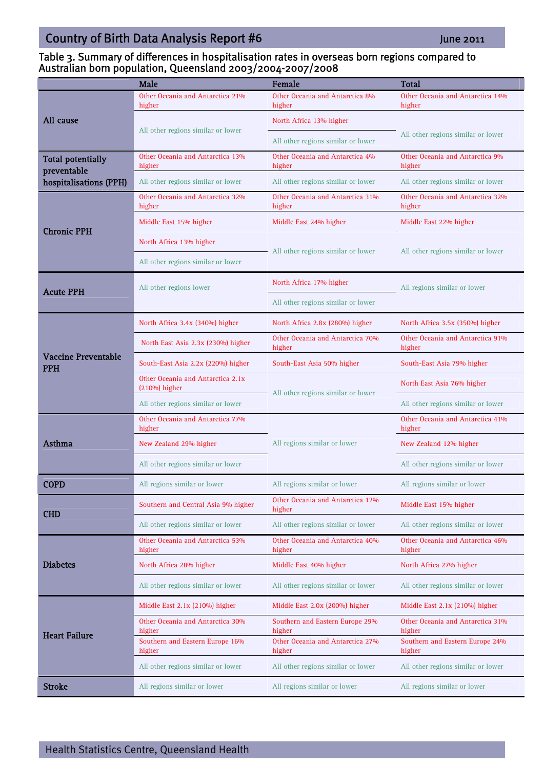#### Table 3. Summary of differences in hospitalisation rates in overseas born regions compared to Australian born population, Queensland 2003/2004-2007/2008

|                                          | Male                                                 | Female                                     | <b>Total</b>                               |  |
|------------------------------------------|------------------------------------------------------|--------------------------------------------|--------------------------------------------|--|
|                                          | Other Oceania and Antarctica 21%<br>higher           | Other Oceania and Antarctica 8%<br>higher  | Other Oceania and Antarctica 14%<br>higher |  |
| All cause                                |                                                      | North Africa 13% higher                    | All other regions similar or lower         |  |
|                                          | All other regions similar or lower                   | All other regions similar or lower         |                                            |  |
| <b>Total potentially</b><br>preventable  | Other Oceania and Antarctica 13%<br>higher           | Other Oceania and Antarctica 4%<br>higher  | Other Oceania and Antarctica 9%<br>higher  |  |
| hospitalisations (PPH)                   | All other regions similar or lower                   | All other regions similar or lower         | All other regions similar or lower         |  |
| <b>Chronic PPH</b>                       | Other Oceania and Antarctica 32%<br>higher           | Other Oceania and Antarctica 31%<br>higher | Other Oceania and Antarctica 32%<br>higher |  |
|                                          | Middle East 15% higher                               | Middle East 24% higher                     | Middle East 22% higher                     |  |
|                                          | North Africa 13% higher                              | All other regions similar or lower         | All other regions similar or lower         |  |
|                                          | All other regions similar or lower                   |                                            |                                            |  |
| <b>Acute PPH</b>                         | All other regions lower                              | North Africa 17% higher                    | All regions similar or lower               |  |
|                                          |                                                      | All other regions similar or lower         |                                            |  |
|                                          | North Africa 3.4x (340%) higher                      | North Africa 2.8x (280%) higher            | North Africa 3.5x (350%) higher            |  |
| <b>Vaccine Preventable</b><br><b>PPH</b> | North East Asia 2.3x (230%) higher                   | Other Oceania and Antarctica 70%<br>higher | Other Oceania and Antarctica 91%<br>higher |  |
|                                          | South-East Asia 2.2x (220%) higher                   | South-East Asia 50% higher                 | South-East Asia 79% higher                 |  |
|                                          | Other Oceania and Antarctica 2.1x<br>$(210%)$ higher | All other regions similar or lower         | North East Asia 76% higher                 |  |
|                                          | All other regions similar or lower                   |                                            | All other regions similar or lower         |  |
|                                          | Other Oceania and Antarctica 77%<br>higher           |                                            | Other Oceania and Antarctica 41%<br>higher |  |
| Asthma                                   | New Zealand 29% higher                               | All regions similar or lower               | New Zealand 12% higher                     |  |
|                                          | All other regions similar or lower                   |                                            | All other regions similar or lower         |  |
| <b>COPD</b>                              | All regions similar or lower                         | All regions similar or lower               | All regions similar or lower               |  |
| <b>CHD</b>                               | Southern and Central Asia 9% higher                  | Other Oceania and Antarctica 12%<br>higher | Middle East 15% higher                     |  |
|                                          | All other regions similar or lower                   | All other regions similar or lower         | All other regions similar or lower         |  |
| <b>Diabetes</b>                          | Other Oceania and Antarctica 53%<br>higher           | Other Oceania and Antarctica 40%<br>higher | Other Oceania and Antarctica 46%<br>higher |  |
|                                          | North Africa 28% higher                              | Middle East 40% higher                     | North Africa 27% higher                    |  |
|                                          | All other regions similar or lower                   | All other regions similar or lower         | All other regions similar or lower         |  |
| <b>Heart Failure</b>                     | Middle East 2.1x (210%) higher                       | Middle East 2.0x (200%) higher             | Middle East 2.1x (210%) higher             |  |
|                                          | Other Oceania and Antarctica 30%<br>higher           | Southern and Eastern Europe 29%<br>higher  | Other Oceania and Antarctica 31%<br>higher |  |
|                                          | Southern and Eastern Europe 16%<br>higher            | Other Oceania and Antarctica 27%<br>higher | Southern and Eastern Europe 24%<br>higher  |  |
|                                          | All other regions similar or lower                   | All other regions similar or lower         | All other regions similar or lower         |  |
| <b>Stroke</b>                            | All regions similar or lower                         | All regions similar or lower               | All regions similar or lower               |  |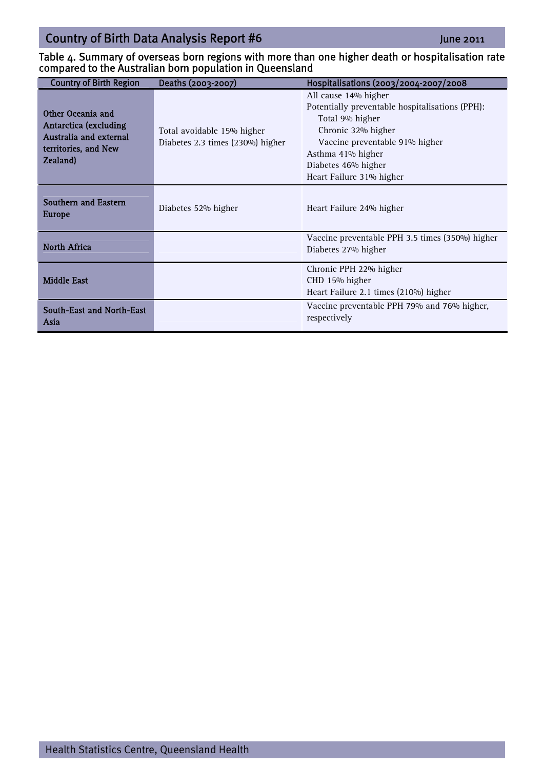#### Table 4. Summary of overseas born regions with more than one higher death or hospitalisation rate compared to the Australian born population in Queensland

| <b>Country of Birth Region</b>                                                                                          | Deaths (2003-2007)                                             | Hospitalisations (2003/2004-2007/2008                                                                                                                                                                                      |
|-------------------------------------------------------------------------------------------------------------------------|----------------------------------------------------------------|----------------------------------------------------------------------------------------------------------------------------------------------------------------------------------------------------------------------------|
| Other Oceania and<br><b>Antarctica (excluding</b><br>Australia and external<br>territories, and New<br><b>Zealand</b> ) | Total avoidable 15% higher<br>Diabetes 2.3 times (230%) higher | All cause 14% higher<br>Potentially preventable hospitalisations (PPH):<br>Total 9% higher<br>Chronic 32% higher<br>Vaccine preventable 91% higher<br>Asthma 41% higher<br>Diabetes 46% higher<br>Heart Failure 31% higher |
| Southern and Eastern<br>Europe                                                                                          | Diabetes 52% higher                                            | Heart Failure 24% higher                                                                                                                                                                                                   |
| <b>North Africa</b>                                                                                                     |                                                                | Vaccine preventable PPH 3.5 times (350%) higher<br>Diabetes 27% higher                                                                                                                                                     |
| <b>Middle East</b>                                                                                                      |                                                                | Chronic PPH 22% higher<br>CHD 15% higher<br>Heart Failure 2.1 times (210%) higher                                                                                                                                          |
| South-East and North-East<br>Asia                                                                                       |                                                                | Vaccine preventable PPH 79% and 76% higher,<br>respectively                                                                                                                                                                |